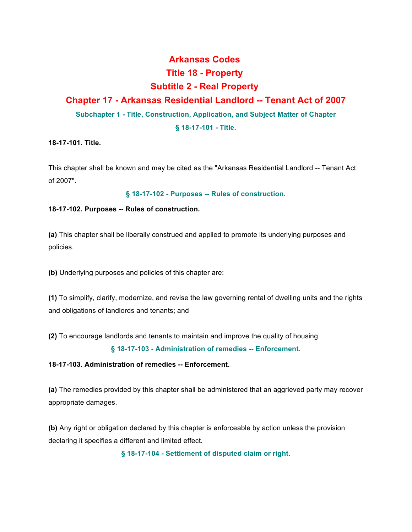# **Arkansas Codes Title 18 - Property Subtitle 2 - Real Property**

## **Chapter 17 - Arkansas Residential Landlord -- Tenant Act of 2007**

**Subchapter 1 - Title, Construction, Application, and Subject Matter of Chapter**

### **§ 18-17-101 - Title.**

## **18-17-101. Title.**

This chapter shall be known and may be cited as the "Arkansas Residential Landlord -- Tenant Act of 2007".

## **§ 18-17-102 - Purposes -- Rules of construction.**

## **18-17-102. Purposes -- Rules of construction.**

**(a)** This chapter shall be liberally construed and applied to promote its underlying purposes and policies.

**(b)** Underlying purposes and policies of this chapter are:

**(1)** To simplify, clarify, modernize, and revise the law governing rental of dwelling units and the rights and obligations of landlords and tenants; and

**(2)** To encourage landlords and tenants to maintain and improve the quality of housing.

## **§ 18-17-103 - Administration of remedies -- Enforcement.**

## **18-17-103. Administration of remedies -- Enforcement.**

**(a)** The remedies provided by this chapter shall be administered that an aggrieved party may recover appropriate damages.

**(b)** Any right or obligation declared by this chapter is enforceable by action unless the provision declaring it specifies a different and limited effect.

**§ 18-17-104 - Settlement of disputed claim or right.**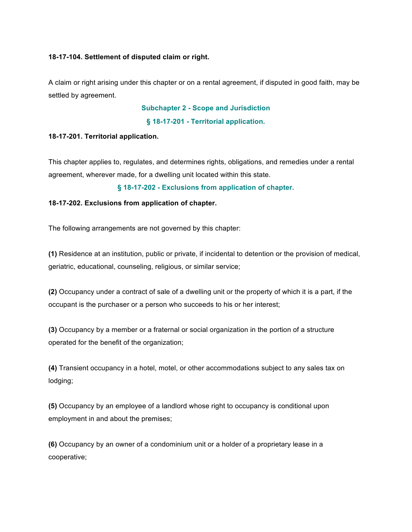#### **18-17-104. Settlement of disputed claim or right.**

A claim or right arising under this chapter or on a rental agreement, if disputed in good faith, may be settled by agreement.

#### **Subchapter 2 - Scope and Jurisdiction**

#### **§ 18-17-201 - Territorial application.**

#### **18-17-201. Territorial application.**

This chapter applies to, regulates, and determines rights, obligations, and remedies under a rental agreement, wherever made, for a dwelling unit located within this state.

#### **§ 18-17-202 - Exclusions from application of chapter.**

#### **18-17-202. Exclusions from application of chapter.**

The following arrangements are not governed by this chapter:

**(1)** Residence at an institution, public or private, if incidental to detention or the provision of medical, geriatric, educational, counseling, religious, or similar service;

**(2)** Occupancy under a contract of sale of a dwelling unit or the property of which it is a part, if the occupant is the purchaser or a person who succeeds to his or her interest;

**(3)** Occupancy by a member or a fraternal or social organization in the portion of a structure operated for the benefit of the organization;

**(4)** Transient occupancy in a hotel, motel, or other accommodations subject to any sales tax on lodging;

**(5)** Occupancy by an employee of a landlord whose right to occupancy is conditional upon employment in and about the premises;

**(6)** Occupancy by an owner of a condominium unit or a holder of a proprietary lease in a cooperative;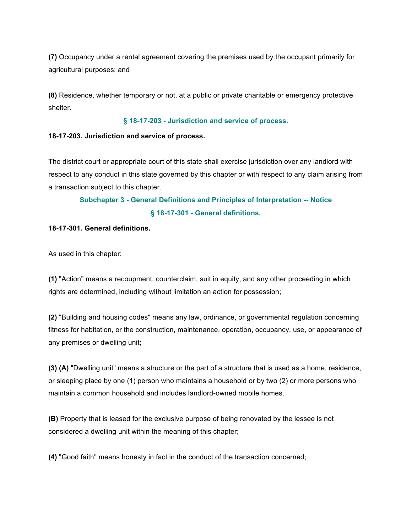**(7)** Occupancy under a rental agreement covering the premises used by the occupant primarily for agricultural purposes; and

**(8)** Residence, whether temporary or not, at a public or private charitable or emergency protective shelter.

#### **§ 18-17-203 - Jurisdiction and service of process.**

#### **18-17-203. Jurisdiction and service of process.**

The district court or appropriate court of this state shall exercise jurisdiction over any landlord with respect to any conduct in this state governed by this chapter or with respect to any claim arising from a transaction subject to this chapter.

## **Subchapter 3 - General Definitions and Principles of Interpretation -- Notice § 18-17-301 - General definitions.**

#### **18-17-301. General definitions.**

As used in this chapter:

**(1)** "Action" means a recoupment, counterclaim, suit in equity, and any other proceeding in which rights are determined, including without limitation an action for possession;

**(2)** "Building and housing codes" means any law, ordinance, or governmental regulation concerning fitness for habitation, or the construction, maintenance, operation, occupancy, use, or appearance of any premises or dwelling unit;

**(3) (A)** "Dwelling unit" means a structure or the part of a structure that is used as a home, residence, or sleeping place by one (1) person who maintains a household or by two (2) or more persons who maintain a common household and includes landlord-owned mobile homes.

**(B)** Property that is leased for the exclusive purpose of being renovated by the lessee is not considered a dwelling unit within the meaning of this chapter;

**(4)** "Good faith" means honesty in fact in the conduct of the transaction concerned;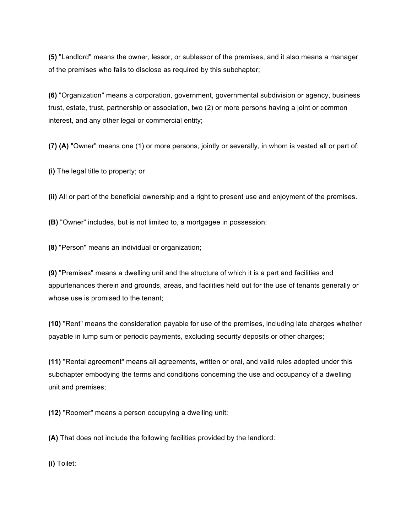**(5)** "Landlord" means the owner, lessor, or sublessor of the premises, and it also means a manager of the premises who fails to disclose as required by this subchapter;

**(6)** "Organization" means a corporation, government, governmental subdivision or agency, business trust, estate, trust, partnership or association, two (2) or more persons having a joint or common interest, and any other legal or commercial entity;

**(7) (A)** "Owner" means one (1) or more persons, jointly or severally, in whom is vested all or part of:

**(i)** The legal title to property; or

**(ii)** All or part of the beneficial ownership and a right to present use and enjoyment of the premises.

**(B)** "Owner" includes, but is not limited to, a mortgagee in possession;

**(8)** "Person" means an individual or organization;

**(9)** "Premises" means a dwelling unit and the structure of which it is a part and facilities and appurtenances therein and grounds, areas, and facilities held out for the use of tenants generally or whose use is promised to the tenant;

**(10)** "Rent" means the consideration payable for use of the premises, including late charges whether payable in lump sum or periodic payments, excluding security deposits or other charges;

**(11)** "Rental agreement" means all agreements, written or oral, and valid rules adopted under this subchapter embodying the terms and conditions concerning the use and occupancy of a dwelling unit and premises;

**(12)** "Roomer" means a person occupying a dwelling unit:

**(A)** That does not include the following facilities provided by the landlord:

**(i)** Toilet;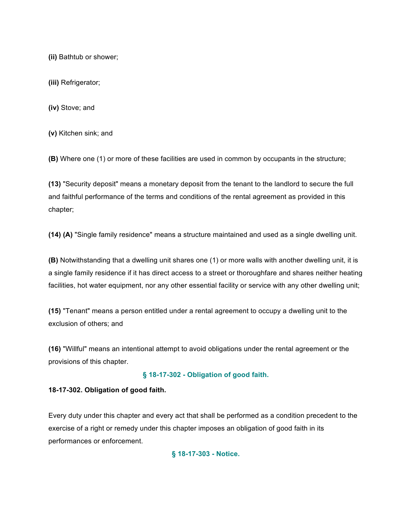**(ii)** Bathtub or shower;

**(iii)** Refrigerator;

**(iv)** Stove; and

**(v)** Kitchen sink; and

**(B)** Where one (1) or more of these facilities are used in common by occupants in the structure;

**(13)** "Security deposit" means a monetary deposit from the tenant to the landlord to secure the full and faithful performance of the terms and conditions of the rental agreement as provided in this chapter;

**(14) (A)** "Single family residence" means a structure maintained and used as a single dwelling unit.

**(B)** Notwithstanding that a dwelling unit shares one (1) or more walls with another dwelling unit, it is a single family residence if it has direct access to a street or thoroughfare and shares neither heating facilities, hot water equipment, nor any other essential facility or service with any other dwelling unit;

**(15)** "Tenant" means a person entitled under a rental agreement to occupy a dwelling unit to the exclusion of others; and

**(16)** "Willful" means an intentional attempt to avoid obligations under the rental agreement or the provisions of this chapter.

## **§ 18-17-302 - Obligation of good faith.**

## **18-17-302. Obligation of good faith.**

Every duty under this chapter and every act that shall be performed as a condition precedent to the exercise of a right or remedy under this chapter imposes an obligation of good faith in its performances or enforcement.

**§ 18-17-303 - Notice.**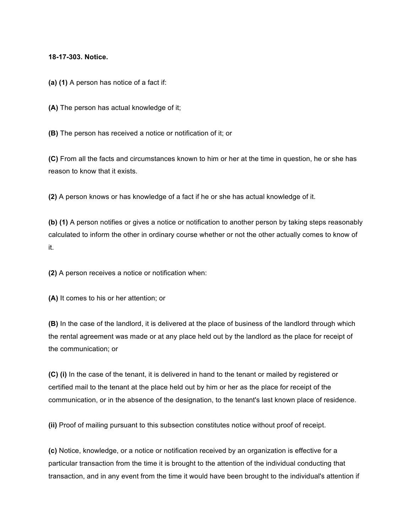#### **18-17-303. Notice.**

**(a) (1)** A person has notice of a fact if:

**(A)** The person has actual knowledge of it;

**(B)** The person has received a notice or notification of it; or

**(C)** From all the facts and circumstances known to him or her at the time in question, he or she has reason to know that it exists.

**(2)** A person knows or has knowledge of a fact if he or she has actual knowledge of it.

**(b) (1)** A person notifies or gives a notice or notification to another person by taking steps reasonably calculated to inform the other in ordinary course whether or not the other actually comes to know of it.

**(2)** A person receives a notice or notification when:

**(A)** It comes to his or her attention; or

**(B)** In the case of the landlord, it is delivered at the place of business of the landlord through which the rental agreement was made or at any place held out by the landlord as the place for receipt of the communication; or

**(C) (i)** In the case of the tenant, it is delivered in hand to the tenant or mailed by registered or certified mail to the tenant at the place held out by him or her as the place for receipt of the communication, or in the absence of the designation, to the tenant's last known place of residence.

**(ii)** Proof of mailing pursuant to this subsection constitutes notice without proof of receipt.

**(c)** Notice, knowledge, or a notice or notification received by an organization is effective for a particular transaction from the time it is brought to the attention of the individual conducting that transaction, and in any event from the time it would have been brought to the individual's attention if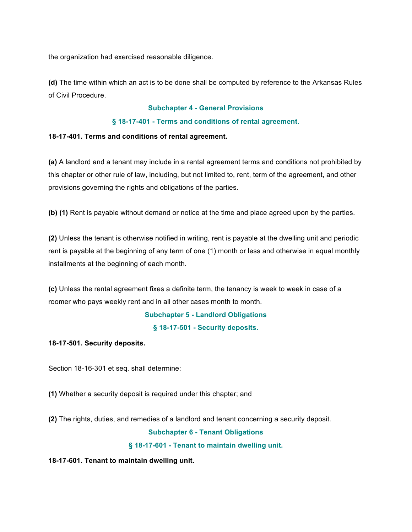the organization had exercised reasonable diligence.

**(d)** The time within which an act is to be done shall be computed by reference to the Arkansas Rules of Civil Procedure.

#### **Subchapter 4 - General Provisions**

#### **§ 18-17-401 - Terms and conditions of rental agreement.**

#### **18-17-401. Terms and conditions of rental agreement.**

**(a)** A landlord and a tenant may include in a rental agreement terms and conditions not prohibited by this chapter or other rule of law, including, but not limited to, rent, term of the agreement, and other provisions governing the rights and obligations of the parties.

**(b) (1)** Rent is payable without demand or notice at the time and place agreed upon by the parties.

**(2)** Unless the tenant is otherwise notified in writing, rent is payable at the dwelling unit and periodic rent is payable at the beginning of any term of one (1) month or less and otherwise in equal monthly installments at the beginning of each month.

**(c)** Unless the rental agreement fixes a definite term, the tenancy is week to week in case of a roomer who pays weekly rent and in all other cases month to month.

**Subchapter 5 - Landlord Obligations**

**§ 18-17-501 - Security deposits.**

**18-17-501. Security deposits.**

Section 18-16-301 et seq. shall determine:

**(1)** Whether a security deposit is required under this chapter; and

**(2)** The rights, duties, and remedies of a landlord and tenant concerning a security deposit.

#### **Subchapter 6 - Tenant Obligations**

**§ 18-17-601 - Tenant to maintain dwelling unit.**

**18-17-601. Tenant to maintain dwelling unit.**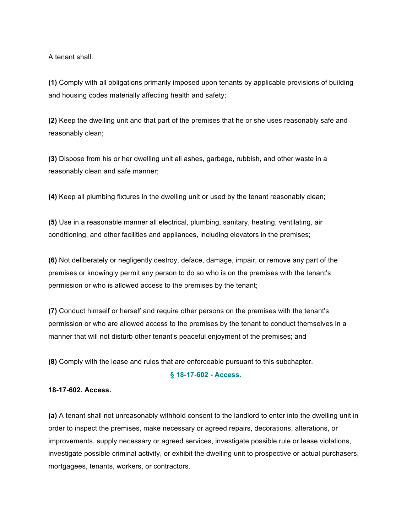A tenant shall:

**(1)** Comply with all obligations primarily imposed upon tenants by applicable provisions of building and housing codes materially affecting health and safety;

**(2)** Keep the dwelling unit and that part of the premises that he or she uses reasonably safe and reasonably clean;

**(3)** Dispose from his or her dwelling unit all ashes, garbage, rubbish, and other waste in a reasonably clean and safe manner;

**(4)** Keep all plumbing fixtures in the dwelling unit or used by the tenant reasonably clean;

**(5)** Use in a reasonable manner all electrical, plumbing, sanitary, heating, ventilating, air conditioning, and other facilities and appliances, including elevators in the premises;

**(6)** Not deliberately or negligently destroy, deface, damage, impair, or remove any part of the premises or knowingly permit any person to do so who is on the premises with the tenant's permission or who is allowed access to the premises by the tenant;

**(7)** Conduct himself or herself and require other persons on the premises with the tenant's permission or who are allowed access to the premises by the tenant to conduct themselves in a manner that will not disturb other tenant's peaceful enjoyment of the premises; and

**(8)** Comply with the lease and rules that are enforceable pursuant to this subchapter.

#### **§ 18-17-602 - Access.**

#### **18-17-602. Access.**

**(a)** A tenant shall not unreasonably withhold consent to the landlord to enter into the dwelling unit in order to inspect the premises, make necessary or agreed repairs, decorations, alterations, or improvements, supply necessary or agreed services, investigate possible rule or lease violations, investigate possible criminal activity, or exhibit the dwelling unit to prospective or actual purchasers, mortgagees, tenants, workers, or contractors.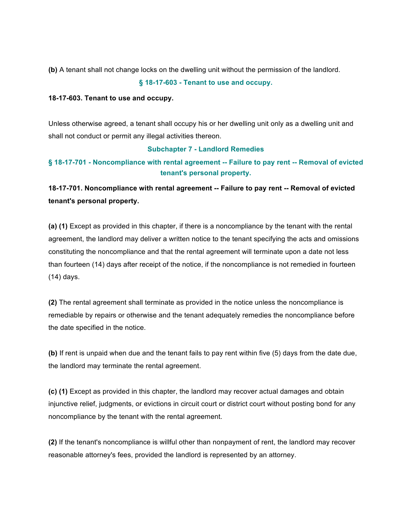**(b)** A tenant shall not change locks on the dwelling unit without the permission of the landlord.

**§ 18-17-603 - Tenant to use and occupy.**

#### **18-17-603. Tenant to use and occupy.**

Unless otherwise agreed, a tenant shall occupy his or her dwelling unit only as a dwelling unit and shall not conduct or permit any illegal activities thereon.

#### **Subchapter 7 - Landlord Remedies**

## **§ 18-17-701 - Noncompliance with rental agreement -- Failure to pay rent -- Removal of evicted tenant's personal property.**

**18-17-701. Noncompliance with rental agreement -- Failure to pay rent -- Removal of evicted tenant's personal property.**

**(a) (1)** Except as provided in this chapter, if there is a noncompliance by the tenant with the rental agreement, the landlord may deliver a written notice to the tenant specifying the acts and omissions constituting the noncompliance and that the rental agreement will terminate upon a date not less than fourteen (14) days after receipt of the notice, if the noncompliance is not remedied in fourteen (14) days.

**(2)** The rental agreement shall terminate as provided in the notice unless the noncompliance is remediable by repairs or otherwise and the tenant adequately remedies the noncompliance before the date specified in the notice.

**(b)** If rent is unpaid when due and the tenant fails to pay rent within five (5) days from the date due, the landlord may terminate the rental agreement.

**(c) (1)** Except as provided in this chapter, the landlord may recover actual damages and obtain injunctive relief, judgments, or evictions in circuit court or district court without posting bond for any noncompliance by the tenant with the rental agreement.

**(2)** If the tenant's noncompliance is willful other than nonpayment of rent, the landlord may recover reasonable attorney's fees, provided the landlord is represented by an attorney.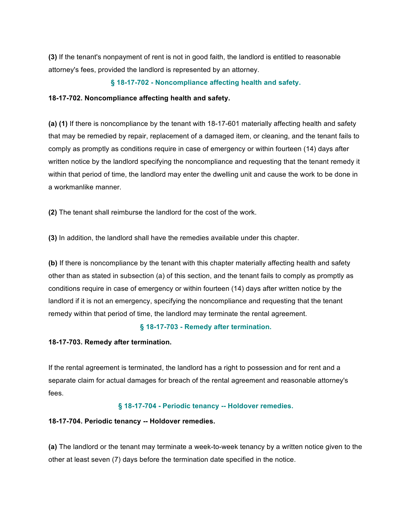**(3)** If the tenant's nonpayment of rent is not in good faith, the landlord is entitled to reasonable attorney's fees, provided the landlord is represented by an attorney.

#### **§ 18-17-702 - Noncompliance affecting health and safety.**

#### **18-17-702. Noncompliance affecting health and safety.**

**(a) (1)** If there is noncompliance by the tenant with 18-17-601 materially affecting health and safety that may be remedied by repair, replacement of a damaged item, or cleaning, and the tenant fails to comply as promptly as conditions require in case of emergency or within fourteen (14) days after written notice by the landlord specifying the noncompliance and requesting that the tenant remedy it within that period of time, the landlord may enter the dwelling unit and cause the work to be done in a workmanlike manner.

**(2)** The tenant shall reimburse the landlord for the cost of the work.

**(3)** In addition, the landlord shall have the remedies available under this chapter.

**(b)** If there is noncompliance by the tenant with this chapter materially affecting health and safety other than as stated in subsection (a) of this section, and the tenant fails to comply as promptly as conditions require in case of emergency or within fourteen (14) days after written notice by the landlord if it is not an emergency, specifying the noncompliance and requesting that the tenant remedy within that period of time, the landlord may terminate the rental agreement.

#### **§ 18-17-703 - Remedy after termination.**

**18-17-703. Remedy after termination.**

If the rental agreement is terminated, the landlord has a right to possession and for rent and a separate claim for actual damages for breach of the rental agreement and reasonable attorney's fees.

#### **§ 18-17-704 - Periodic tenancy -- Holdover remedies.**

#### **18-17-704. Periodic tenancy -- Holdover remedies.**

**(a)** The landlord or the tenant may terminate a week-to-week tenancy by a written notice given to the other at least seven (7) days before the termination date specified in the notice.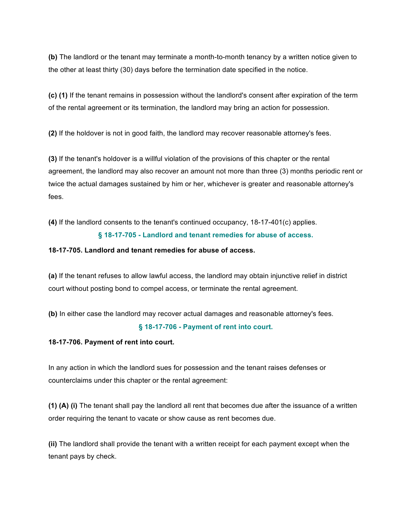**(b)** The landlord or the tenant may terminate a month-to-month tenancy by a written notice given to the other at least thirty (30) days before the termination date specified in the notice.

**(c) (1)** If the tenant remains in possession without the landlord's consent after expiration of the term of the rental agreement or its termination, the landlord may bring an action for possession.

**(2)** If the holdover is not in good faith, the landlord may recover reasonable attorney's fees.

**(3)** If the tenant's holdover is a willful violation of the provisions of this chapter or the rental agreement, the landlord may also recover an amount not more than three (3) months periodic rent or twice the actual damages sustained by him or her, whichever is greater and reasonable attorney's fees.

**(4)** If the landlord consents to the tenant's continued occupancy, 18-17-401(c) applies.

#### **§ 18-17-705 - Landlord and tenant remedies for abuse of access.**

#### **18-17-705. Landlord and tenant remedies for abuse of access.**

**(a)** If the tenant refuses to allow lawful access, the landlord may obtain injunctive relief in district court without posting bond to compel access, or terminate the rental agreement.

**(b)** In either case the landlord may recover actual damages and reasonable attorney's fees.

#### **§ 18-17-706 - Payment of rent into court.**

**18-17-706. Payment of rent into court.**

In any action in which the landlord sues for possession and the tenant raises defenses or counterclaims under this chapter or the rental agreement:

**(1) (A) (i)** The tenant shall pay the landlord all rent that becomes due after the issuance of a written order requiring the tenant to vacate or show cause as rent becomes due.

**(ii)** The landlord shall provide the tenant with a written receipt for each payment except when the tenant pays by check.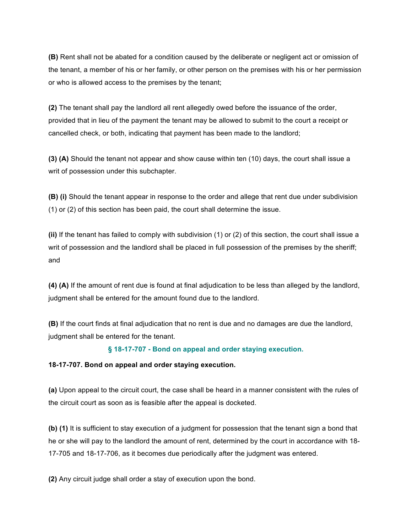**(B)** Rent shall not be abated for a condition caused by the deliberate or negligent act or omission of the tenant, a member of his or her family, or other person on the premises with his or her permission or who is allowed access to the premises by the tenant;

**(2)** The tenant shall pay the landlord all rent allegedly owed before the issuance of the order, provided that in lieu of the payment the tenant may be allowed to submit to the court a receipt or cancelled check, or both, indicating that payment has been made to the landlord;

**(3) (A)** Should the tenant not appear and show cause within ten (10) days, the court shall issue a writ of possession under this subchapter.

**(B) (i)** Should the tenant appear in response to the order and allege that rent due under subdivision (1) or (2) of this section has been paid, the court shall determine the issue.

**(ii)** If the tenant has failed to comply with subdivision (1) or (2) of this section, the court shall issue a writ of possession and the landlord shall be placed in full possession of the premises by the sheriff; and

**(4) (A)** If the amount of rent due is found at final adjudication to be less than alleged by the landlord, judgment shall be entered for the amount found due to the landlord.

**(B)** If the court finds at final adjudication that no rent is due and no damages are due the landlord, judgment shall be entered for the tenant.

#### **§ 18-17-707 - Bond on appeal and order staying execution.**

#### **18-17-707. Bond on appeal and order staying execution.**

**(a)** Upon appeal to the circuit court, the case shall be heard in a manner consistent with the rules of the circuit court as soon as is feasible after the appeal is docketed.

**(b) (1)** It is sufficient to stay execution of a judgment for possession that the tenant sign a bond that he or she will pay to the landlord the amount of rent, determined by the court in accordance with 18- 17-705 and 18-17-706, as it becomes due periodically after the judgment was entered.

**(2)** Any circuit judge shall order a stay of execution upon the bond.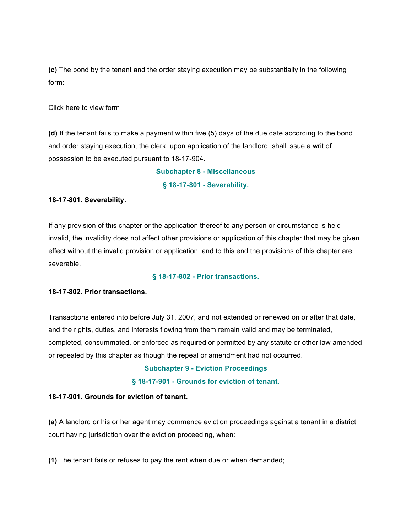**(c)** The bond by the tenant and the order staying execution may be substantially in the following form:

Click here to view form

**(d)** If the tenant fails to make a payment within five (5) days of the due date according to the bond and order staying execution, the clerk, upon application of the landlord, shall issue a writ of possession to be executed pursuant to 18-17-904.

> **Subchapter 8 - Miscellaneous § 18-17-801 - Severability.**

#### **18-17-801. Severability.**

If any provision of this chapter or the application thereof to any person or circumstance is held invalid, the invalidity does not affect other provisions or application of this chapter that may be given effect without the invalid provision or application, and to this end the provisions of this chapter are severable.

#### **§ 18-17-802 - Prior transactions.**

#### **18-17-802. Prior transactions.**

Transactions entered into before July 31, 2007, and not extended or renewed on or after that date, and the rights, duties, and interests flowing from them remain valid and may be terminated, completed, consummated, or enforced as required or permitted by any statute or other law amended or repealed by this chapter as though the repeal or amendment had not occurred.

#### **Subchapter 9 - Eviction Proceedings**

#### **§ 18-17-901 - Grounds for eviction of tenant.**

#### **18-17-901. Grounds for eviction of tenant.**

**(a)** A landlord or his or her agent may commence eviction proceedings against a tenant in a district court having jurisdiction over the eviction proceeding, when:

**(1)** The tenant fails or refuses to pay the rent when due or when demanded;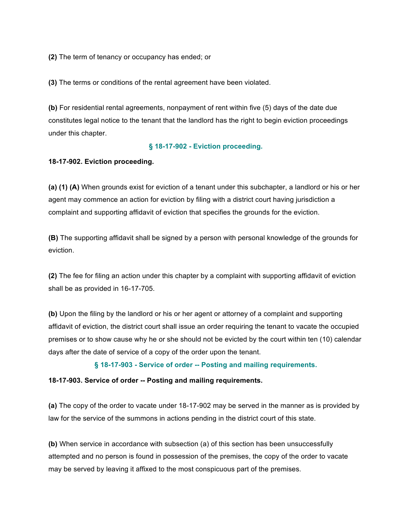**(2)** The term of tenancy or occupancy has ended; or

**(3)** The terms or conditions of the rental agreement have been violated.

**(b)** For residential rental agreements, nonpayment of rent within five (5) days of the date due constitutes legal notice to the tenant that the landlord has the right to begin eviction proceedings under this chapter.

#### **§ 18-17-902 - Eviction proceeding.**

#### **18-17-902. Eviction proceeding.**

**(a) (1) (A)** When grounds exist for eviction of a tenant under this subchapter, a landlord or his or her agent may commence an action for eviction by filing with a district court having jurisdiction a complaint and supporting affidavit of eviction that specifies the grounds for the eviction.

**(B)** The supporting affidavit shall be signed by a person with personal knowledge of the grounds for eviction.

**(2)** The fee for filing an action under this chapter by a complaint with supporting affidavit of eviction shall be as provided in 16-17-705.

**(b)** Upon the filing by the landlord or his or her agent or attorney of a complaint and supporting affidavit of eviction, the district court shall issue an order requiring the tenant to vacate the occupied premises or to show cause why he or she should not be evicted by the court within ten (10) calendar days after the date of service of a copy of the order upon the tenant.

#### **§ 18-17-903 - Service of order -- Posting and mailing requirements.**

#### **18-17-903. Service of order -- Posting and mailing requirements.**

**(a)** The copy of the order to vacate under 18-17-902 may be served in the manner as is provided by law for the service of the summons in actions pending in the district court of this state.

**(b)** When service in accordance with subsection (a) of this section has been unsuccessfully attempted and no person is found in possession of the premises, the copy of the order to vacate may be served by leaving it affixed to the most conspicuous part of the premises.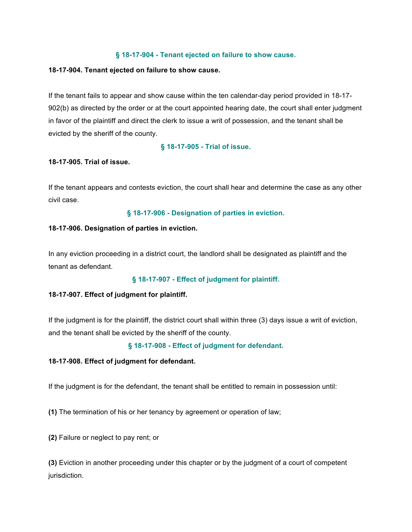#### **§ 18-17-904 - Tenant ejected on failure to show cause.**

#### **18-17-904. Tenant ejected on failure to show cause.**

If the tenant fails to appear and show cause within the ten calendar-day period provided in 18-17- 902(b) as directed by the order or at the court appointed hearing date, the court shall enter judgment in favor of the plaintiff and direct the clerk to issue a writ of possession, and the tenant shall be evicted by the sheriff of the county.

#### **§ 18-17-905 - Trial of issue.**

#### **18-17-905. Trial of issue.**

If the tenant appears and contests eviction, the court shall hear and determine the case as any other civil case.

**§ 18-17-906 - Designation of parties in eviction.**

#### **18-17-906. Designation of parties in eviction.**

In any eviction proceeding in a district court, the landlord shall be designated as plaintiff and the tenant as defendant.

#### **§ 18-17-907 - Effect of judgment for plaintiff.**

#### **18-17-907. Effect of judgment for plaintiff.**

If the judgment is for the plaintiff, the district court shall within three (3) days issue a writ of eviction, and the tenant shall be evicted by the sheriff of the county.

#### **§ 18-17-908 - Effect of judgment for defendant.**

#### **18-17-908. Effect of judgment for defendant.**

If the judgment is for the defendant, the tenant shall be entitled to remain in possession until:

**(1)** The termination of his or her tenancy by agreement or operation of law;

**(2)** Failure or neglect to pay rent; or

**(3)** Eviction in another proceeding under this chapter or by the judgment of a court of competent jurisdiction.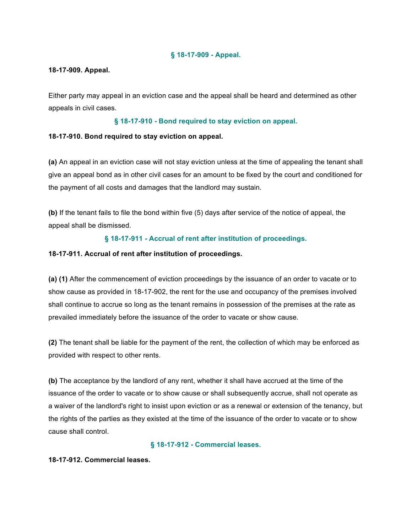#### **§ 18-17-909 - Appeal.**

#### **18-17-909. Appeal.**

Either party may appeal in an eviction case and the appeal shall be heard and determined as other appeals in civil cases.

#### **§ 18-17-910 - Bond required to stay eviction on appeal.**

#### **18-17-910. Bond required to stay eviction on appeal.**

**(a)** An appeal in an eviction case will not stay eviction unless at the time of appealing the tenant shall give an appeal bond as in other civil cases for an amount to be fixed by the court and conditioned for the payment of all costs and damages that the landlord may sustain.

**(b)** If the tenant fails to file the bond within five (5) days after service of the notice of appeal, the appeal shall be dismissed.

### **§ 18-17-911 - Accrual of rent after institution of proceedings.**

#### **18-17-911. Accrual of rent after institution of proceedings.**

**(a) (1)** After the commencement of eviction proceedings by the issuance of an order to vacate or to show cause as provided in 18-17-902, the rent for the use and occupancy of the premises involved shall continue to accrue so long as the tenant remains in possession of the premises at the rate as prevailed immediately before the issuance of the order to vacate or show cause.

**(2)** The tenant shall be liable for the payment of the rent, the collection of which may be enforced as provided with respect to other rents.

**(b)** The acceptance by the landlord of any rent, whether it shall have accrued at the time of the issuance of the order to vacate or to show cause or shall subsequently accrue, shall not operate as a waiver of the landlord's right to insist upon eviction or as a renewal or extension of the tenancy, but the rights of the parties as they existed at the time of the issuance of the order to vacate or to show cause shall control.

#### **§ 18-17-912 - Commercial leases.**

#### **18-17-912. Commercial leases.**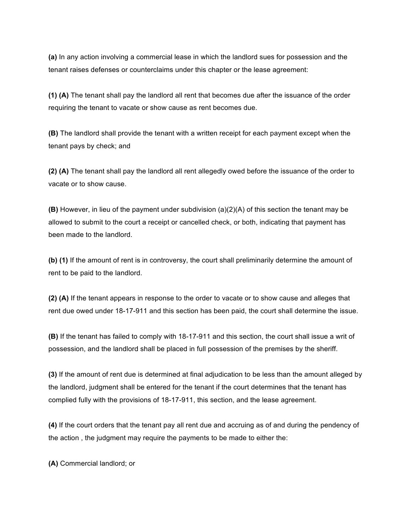**(a)** In any action involving a commercial lease in which the landlord sues for possession and the tenant raises defenses or counterclaims under this chapter or the lease agreement:

**(1) (A)** The tenant shall pay the landlord all rent that becomes due after the issuance of the order requiring the tenant to vacate or show cause as rent becomes due.

**(B)** The landlord shall provide the tenant with a written receipt for each payment except when the tenant pays by check; and

**(2) (A)** The tenant shall pay the landlord all rent allegedly owed before the issuance of the order to vacate or to show cause.

**(B)** However, in lieu of the payment under subdivision (a)(2)(A) of this section the tenant may be allowed to submit to the court a receipt or cancelled check, or both, indicating that payment has been made to the landlord.

**(b) (1)** If the amount of rent is in controversy, the court shall preliminarily determine the amount of rent to be paid to the landlord.

**(2) (A)** If the tenant appears in response to the order to vacate or to show cause and alleges that rent due owed under 18-17-911 and this section has been paid, the court shall determine the issue.

**(B)** If the tenant has failed to comply with 18-17-911 and this section, the court shall issue a writ of possession, and the landlord shall be placed in full possession of the premises by the sheriff.

**(3)** If the amount of rent due is determined at final adjudication to be less than the amount alleged by the landlord, judgment shall be entered for the tenant if the court determines that the tenant has complied fully with the provisions of 18-17-911, this section, and the lease agreement.

**(4)** If the court orders that the tenant pay all rent due and accruing as of and during the pendency of the action , the judgment may require the payments to be made to either the:

**(A)** Commercial landlord; or